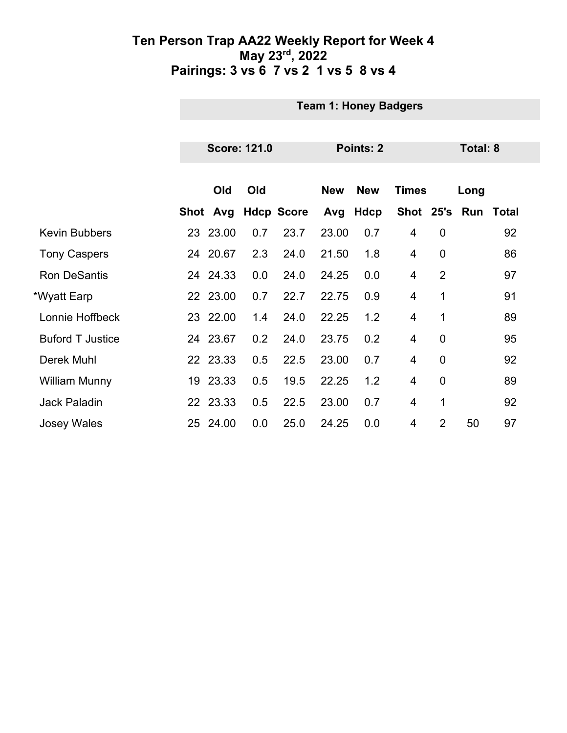|                         | <b>Team 1: Honey Badgers</b> |                     |     |                   |            |            |                |                |                     |    |  |
|-------------------------|------------------------------|---------------------|-----|-------------------|------------|------------|----------------|----------------|---------------------|----|--|
|                         |                              |                     |     |                   |            |            |                |                |                     |    |  |
|                         |                              | <b>Score: 121.0</b> |     |                   | Points: 2  |            |                |                | <b>Total: 8</b>     |    |  |
|                         |                              |                     |     |                   |            |            |                |                |                     |    |  |
|                         |                              | Old                 | Old |                   | <b>New</b> | <b>New</b> | <b>Times</b>   |                | Long                |    |  |
|                         |                              | Shot Avg            |     | <b>Hdcp Score</b> | Avg        | Hdcp       |                |                | Shot 25's Run Total |    |  |
| <b>Kevin Bubbers</b>    |                              | 23 23.00            | 0.7 | 23.7              | 23.00      | 0.7        | 4              | $\mathbf 0$    |                     | 92 |  |
| <b>Tony Caspers</b>     |                              | 24 20.67            | 2.3 | 24.0              | 21.50      | 1.8        | $\overline{4}$ | $\mathbf 0$    |                     | 86 |  |
| <b>Ron DeSantis</b>     |                              | 24 24.33            | 0.0 | 24.0              | 24.25      | 0.0        | $\overline{4}$ | $\overline{2}$ |                     | 97 |  |
| *Wyatt Earp             |                              | 22 23.00            | 0.7 | 22.7              | 22.75      | 0.9        | 4              | 1              |                     | 91 |  |
| Lonnie Hoffbeck         |                              | 23 22.00            | 1.4 | 24.0              | 22.25      | 1.2        | $\overline{4}$ | 1              |                     | 89 |  |
| <b>Buford T Justice</b> |                              | 24 23.67            | 0.2 | 24.0              | 23.75      | 0.2        | 4              | $\mathbf 0$    |                     | 95 |  |
| Derek Muhl              |                              | 22 23.33            | 0.5 | 22.5              | 23.00      | 0.7        | 4              | $\mathbf 0$    |                     | 92 |  |
| <b>William Munny</b>    |                              | 19 23.33            | 0.5 | 19.5              | 22.25      | 1.2        | $\overline{4}$ | $\overline{0}$ |                     | 89 |  |
| <b>Jack Paladin</b>     |                              | 22 23.33            | 0.5 | 22.5              | 23.00      | 0.7        | $\overline{4}$ | 1              |                     | 92 |  |
| <b>Josey Wales</b>      |                              | 25 24.00            | 0.0 | 25.0              | 24.25      | 0.0        | 4              | $\overline{2}$ | 50                  | 97 |  |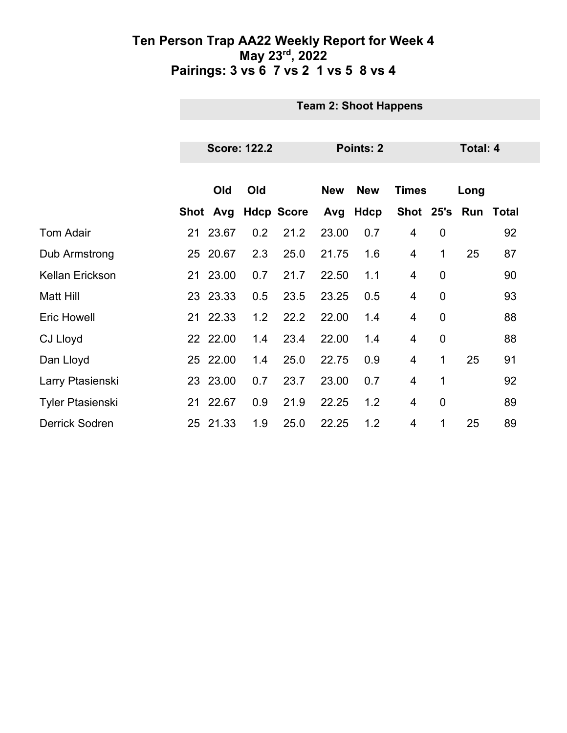|                         | <b>Team 2: Shoot Happens</b> |          |                     |                   |            |            |                |                |                 |                     |  |  |
|-------------------------|------------------------------|----------|---------------------|-------------------|------------|------------|----------------|----------------|-----------------|---------------------|--|--|
|                         |                              |          |                     |                   |            |            |                |                |                 |                     |  |  |
|                         |                              |          | <b>Score: 122.2</b> |                   | Points: 2  |            |                |                | <b>Total: 4</b> |                     |  |  |
|                         |                              |          |                     |                   |            |            |                |                |                 |                     |  |  |
|                         |                              | Old      | Old                 |                   | <b>New</b> | <b>New</b> | <b>Times</b>   |                | Long            |                     |  |  |
|                         |                              | Shot Avg |                     | <b>Hdcp Score</b> |            | Avg Hdcp   |                |                |                 | Shot 25's Run Total |  |  |
| <b>Tom Adair</b>        |                              | 21 23.67 | 0.2                 | 21.2              | 23.00      | 0.7        | $\overline{4}$ | $\mathbf 0$    |                 | 92                  |  |  |
| Dub Armstrong           |                              | 25 20.67 | 2.3                 | 25.0              | 21.75      | 1.6        | $\overline{4}$ | 1              | 25              | 87                  |  |  |
| <b>Kellan Erickson</b>  |                              | 21 23.00 | 0.7                 | 21.7              | 22.50      | 1.1        | $\overline{4}$ | $\overline{0}$ |                 | 90                  |  |  |
| <b>Matt Hill</b>        |                              | 23 23.33 | 0.5                 | 23.5              | 23.25      | 0.5        | 4              | $\mathbf 0$    |                 | 93                  |  |  |
| <b>Eric Howell</b>      |                              | 21 22.33 | 1.2                 | 22.2              | 22.00      | 1.4        | 4              | $\mathbf 0$    |                 | 88                  |  |  |
| <b>CJ Lloyd</b>         |                              | 22 22.00 | 1.4                 | 23.4              | 22.00      | 1.4        | 4              | $\mathbf 0$    |                 | 88                  |  |  |
| Dan Lloyd               |                              | 25 22.00 | 1.4                 | 25.0              | 22.75      | 0.9        | 4              | 1              | 25              | 91                  |  |  |
| Larry Ptasienski        |                              | 23 23.00 | 0.7                 | 23.7              | 23.00      | 0.7        | $\overline{4}$ | 1              |                 | 92                  |  |  |
| <b>Tyler Ptasienski</b> |                              | 21 22.67 | 0.9                 | 21.9              | 22.25      | 1.2        | $\overline{4}$ | $\mathbf 0$    |                 | 89                  |  |  |
| <b>Derrick Sodren</b>   |                              | 25 21.33 | 1.9                 | 25.0              | 22.25      | 1.2        | 4              | 1              | 25              | 89                  |  |  |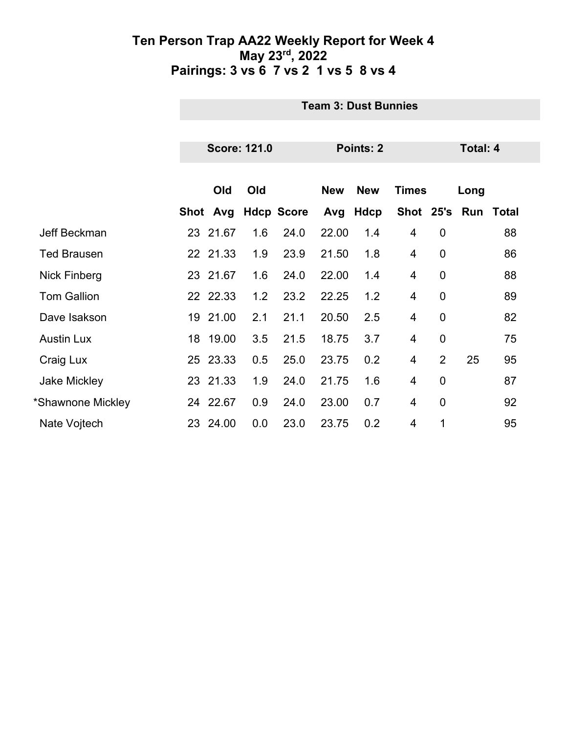|                     | <b>Team 3: Dust Bunnies</b> |                     |                   |            |            |                |                |                 |       |  |
|---------------------|-----------------------------|---------------------|-------------------|------------|------------|----------------|----------------|-----------------|-------|--|
|                     |                             |                     |                   |            |            |                |                |                 |       |  |
|                     |                             | <b>Score: 121.0</b> |                   |            | Points: 2  |                |                | <b>Total: 4</b> |       |  |
|                     |                             |                     |                   |            |            |                |                |                 |       |  |
|                     | Old                         | Old                 |                   | <b>New</b> | <b>New</b> | <b>Times</b>   |                | Long            |       |  |
|                     | Shot Avg                    |                     | <b>Hdcp Score</b> |            | Avg Hdcp   |                |                | Shot 25's Run   | Total |  |
| Jeff Beckman        | 23 21.67                    | 1.6                 | 24.0              | 22.00      | 1.4        | 4              | $\mathbf 0$    |                 | 88    |  |
| <b>Ted Brausen</b>  | 22 21.33                    | 1.9                 | 23.9              | 21.50      | 1.8        | 4              | $\mathbf 0$    |                 | 86    |  |
| <b>Nick Finberg</b> | 23 21.67                    | 1.6                 | 24.0              | 22.00      | 1.4        | 4              | $\overline{0}$ |                 | 88    |  |
| <b>Tom Gallion</b>  | 22 22.33                    | 1.2                 | 23.2              | 22.25      | 1.2        | 4              | $\overline{0}$ |                 | 89    |  |
| Dave Isakson        | 19 21.00                    | 2.1                 | 21.1              | 20.50      | 2.5        | 4              | $\overline{0}$ |                 | 82    |  |
| <b>Austin Lux</b>   | 18 19.00                    | 3.5                 | 21.5              | 18.75      | 3.7        | 4              | $\overline{0}$ |                 | 75    |  |
| Craig Lux           | 25 23.33                    | 0.5                 | 25.0              | 23.75      | 0.2        | $\overline{4}$ | $\overline{2}$ | 25              | 95    |  |
| <b>Jake Mickley</b> | 23 21.33                    | 1.9                 | 24.0              | 21.75      | 1.6        | 4              | $\overline{0}$ |                 | 87    |  |
| *Shawnone Mickley   | 24 22.67                    | 0.9                 | 24.0              | 23.00      | 0.7        | 4              | $\overline{0}$ |                 | 92    |  |
| Nate Vojtech        | 23 24.00                    | 0.0                 | 23.0              | 23.75      | 0.2        | 4              | 1              |                 | 95    |  |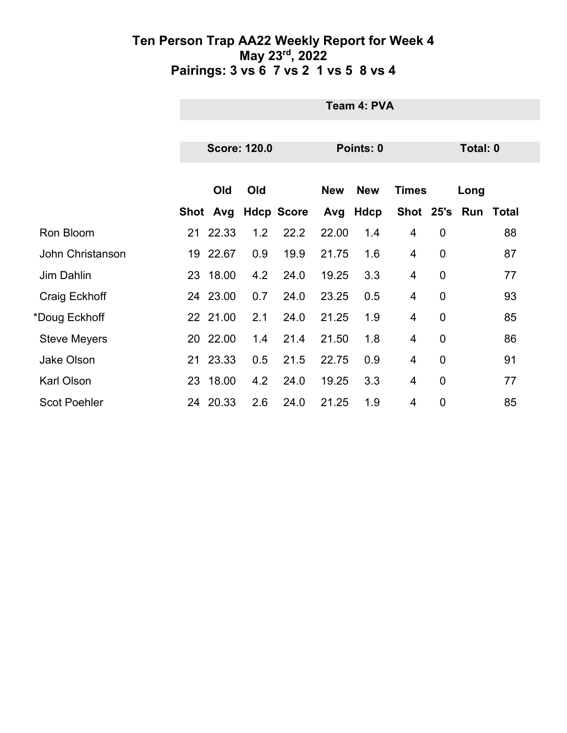|                     |    | Team 4: PVA |                     |                   |            |             |                |                |                     |    |  |
|---------------------|----|-------------|---------------------|-------------------|------------|-------------|----------------|----------------|---------------------|----|--|
|                     |    |             | <b>Score: 120.0</b> |                   |            | Points: 0   |                |                | <b>Total: 0</b>     |    |  |
|                     |    |             |                     |                   |            |             |                |                |                     |    |  |
|                     |    | Old         | Old                 |                   | <b>New</b> | <b>New</b>  | <b>Times</b>   |                | Long                |    |  |
|                     |    | Shot Avg    |                     | <b>Hdcp Score</b> | Avg        | <b>Hdcp</b> |                |                | Shot 25's Run Total |    |  |
| Ron Bloom           |    | 21 22.33    | 1.2                 | 22.2              | 22.00      | 1.4         | $\overline{4}$ | $\mathbf 0$    |                     | 88 |  |
| John Christanson    |    | 19 22.67    | 0.9                 | 19.9              | 21.75      | 1.6         | 4              | $\overline{0}$ |                     | 87 |  |
| Jim Dahlin          |    | 23 18.00    | 4.2                 | 24.0              | 19.25      | 3.3         | 4              | $\mathbf 0$    |                     | 77 |  |
| Craig Eckhoff       |    | 24 23.00    | 0.7                 | 24.0              | 23.25      | 0.5         | 4              | $\overline{0}$ |                     | 93 |  |
| *Doug Eckhoff       |    | 22 21.00    | 2.1                 | 24.0              | 21.25      | 1.9         | 4              | $\mathbf 0$    |                     | 85 |  |
| <b>Steve Meyers</b> |    | 20 22.00    | 1.4                 | 21.4              | 21.50      | 1.8         | 4              | $\mathbf 0$    |                     | 86 |  |
| <b>Jake Olson</b>   | 21 | 23.33       | 0.5                 | 21.5              | 22.75      | 0.9         | 4              | $\mathbf 0$    |                     | 91 |  |
| Karl Olson          | 23 | 18.00       | 4.2                 | 24.0              | 19.25      | 3.3         | 4              | $\mathbf 0$    |                     | 77 |  |
| <b>Scot Poehler</b> | 24 | 20.33       | 2.6                 | 24.0              | 21.25      | 1.9         | 4              | $\overline{0}$ |                     | 85 |  |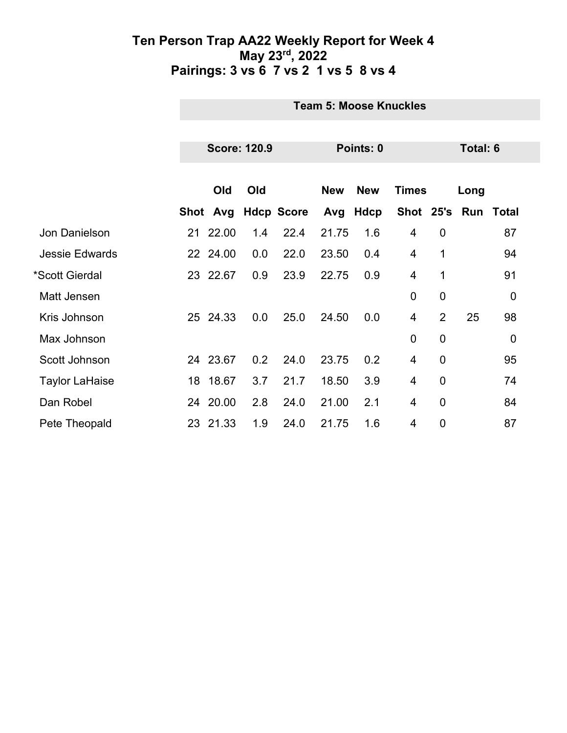|                       | <b>Team 5: Moose Knuckles</b> |          |     |                   |            |            |                |                |      |                |
|-----------------------|-------------------------------|----------|-----|-------------------|------------|------------|----------------|----------------|------|----------------|
|                       |                               |          |     |                   |            |            |                |                |      |                |
|                       | <b>Score: 120.9</b>           |          |     | Points: 0         |            |            |                | Total: 6       |      |                |
|                       |                               |          |     |                   |            |            |                |                |      |                |
|                       |                               | Old      | Old |                   | <b>New</b> | <b>New</b> | <b>Times</b>   |                | Long |                |
|                       |                               | Shot Avg |     | <b>Hdcp Score</b> | Avg        | Hdcp       | Shot 25's      |                | Run  | Total          |
| Jon Danielson         |                               | 21 22.00 | 1.4 | 22.4              | 21.75      | 1.6        | 4              | $\mathbf 0$    |      | 87             |
| <b>Jessie Edwards</b> |                               | 22 24.00 | 0.0 | 22.0              | 23.50      | 0.4        | $\overline{4}$ | 1              |      | 94             |
| *Scott Gierdal        |                               | 23 22.67 | 0.9 | 23.9              | 22.75      | 0.9        | 4              | 1              |      | 91             |
| Matt Jensen           |                               |          |     |                   |            |            | $\overline{0}$ | $\mathbf 0$    |      | $\overline{0}$ |
| Kris Johnson          |                               | 25 24.33 | 0.0 | 25.0              | 24.50      | 0.0        | $\overline{4}$ | $\overline{2}$ | 25   | 98             |
| Max Johnson           |                               |          |     |                   |            |            | $\mathbf 0$    | $\mathbf 0$    |      | $\mathbf 0$    |
| Scott Johnson         |                               | 24 23.67 | 0.2 | 24.0              | 23.75      | 0.2        | 4              | $\overline{0}$ |      | 95             |
| <b>Taylor LaHaise</b> |                               | 18 18.67 | 3.7 | 21.7              | 18.50      | 3.9        | 4              | $\overline{0}$ |      | 74             |
| Dan Robel             |                               | 24 20.00 | 2.8 | 24.0              | 21.00      | 2.1        | 4              | $\mathbf 0$    |      | 84             |
| Pete Theopald         |                               | 23 21.33 | 1.9 | 24.0              | 21.75      | 1.6        | 4              | $\overline{0}$ |      | 87             |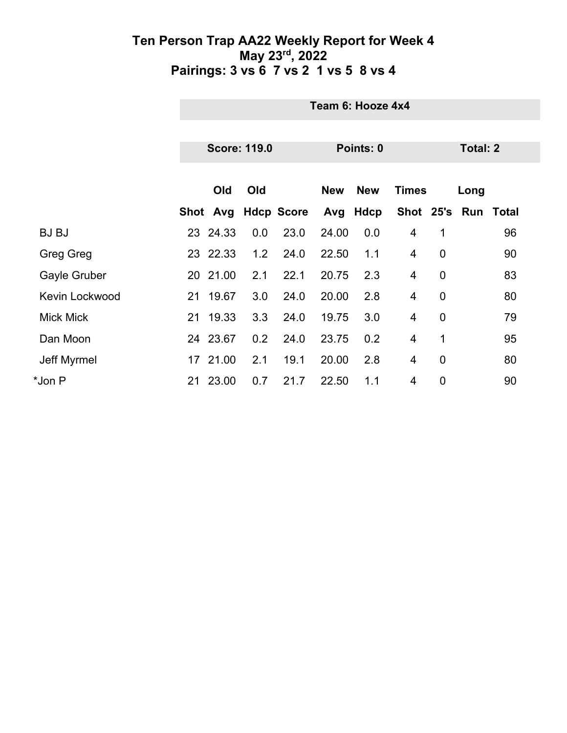|                  | Team 6: Hooze 4x4 |                     |                     |            |            |                |                |          |                  |  |
|------------------|-------------------|---------------------|---------------------|------------|------------|----------------|----------------|----------|------------------|--|
|                  |                   |                     |                     |            |            |                |                |          |                  |  |
|                  |                   | <b>Score: 119.0</b> |                     | Points: 0  |            |                |                | Total: 2 |                  |  |
|                  |                   |                     |                     |            |            |                |                |          |                  |  |
|                  | Old               | Old                 |                     | <b>New</b> | <b>New</b> | <b>Times</b>   |                | Long     |                  |  |
|                  |                   |                     | Shot Avg Hdcp Score | Avg        | Hdcp       | Shot 25's      |                |          | <b>Run Total</b> |  |
| <b>BJ BJ</b>     | 23 24.33          | 0.0                 | 23.0                | 24.00      | 0.0        | 4              | 1              |          | 96               |  |
| Greg Greg        | 23 22.33          | 1.2                 | 24.0                | 22.50      | 1.1        | 4              | $\mathbf 0$    |          | 90               |  |
| Gayle Gruber     | 20 21.00          | 2.1                 | 22.1                | 20.75      | 2.3        | $\overline{4}$ | $\overline{0}$ |          | 83               |  |
| Kevin Lockwood   | 21 19.67          | 3.0                 | 24.0                | 20.00      | 2.8        | $\overline{4}$ | $\mathbf 0$    |          | 80               |  |
| <b>Mick Mick</b> | 21 19.33          | 3.3                 | 24.0                | 19.75      | 3.0        | 4              | $\mathbf 0$    |          | 79               |  |
| Dan Moon         | 24 23.67          | 0.2                 | 24.0                | 23.75      | 0.2        | 4              | 1              |          | 95               |  |
| Jeff Myrmel      | 17 21.00          | 2.1                 | 19.1                | 20.00      | 2.8        | 4              | $\overline{0}$ |          | 80               |  |
| *Jon P           | 21 23.00          | 0.7                 | 21.7                | 22.50      | 1.1        | 4              | $\mathbf 0$    |          | 90               |  |
|                  |                   |                     |                     |            |            |                |                |          |                  |  |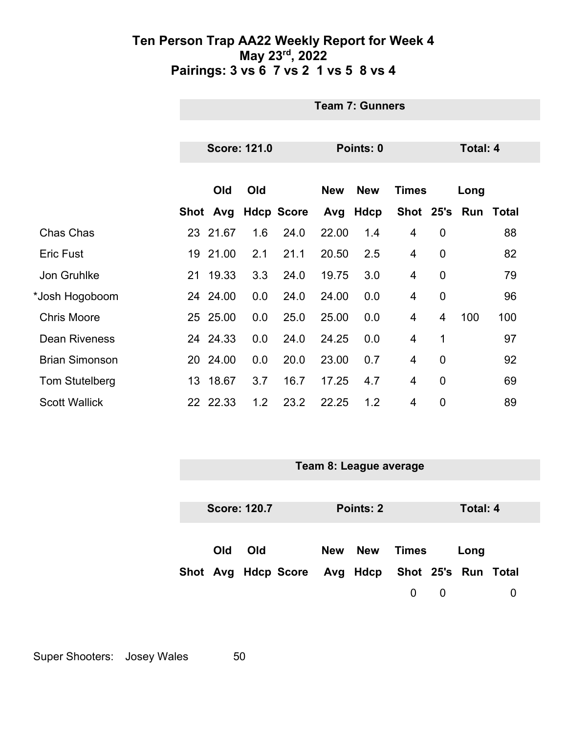|                       | <b>Team 7: Gunners</b> |          |     |                   |            |            |                |                 |      |                     |
|-----------------------|------------------------|----------|-----|-------------------|------------|------------|----------------|-----------------|------|---------------------|
|                       |                        |          |     |                   |            |            |                |                 |      |                     |
|                       | <b>Score: 121.0</b>    |          |     | Points: 0         |            |            |                | <b>Total: 4</b> |      |                     |
|                       |                        |          |     |                   |            |            |                |                 |      |                     |
|                       |                        | Old      | Old |                   | <b>New</b> | <b>New</b> | <b>Times</b>   |                 | Long |                     |
|                       |                        | Shot Avg |     | <b>Hdcp Score</b> |            | Avg Hdcp   |                |                 |      | Shot 25's Run Total |
| Chas Chas             |                        | 23 21.67 | 1.6 | 24.0              | 22.00      | 1.4        | $\overline{4}$ | $\overline{0}$  |      | 88                  |
| <b>Eric Fust</b>      |                        | 19 21.00 | 2.1 | 21.1              | 20.50      | 2.5        | 4              | $\overline{0}$  |      | 82                  |
| Jon Gruhlke           |                        | 21 19.33 | 3.3 | 24.0              | 19.75      | 3.0        | $\overline{4}$ | $\mathbf 0$     |      | 79                  |
| *Josh Hogoboom        |                        | 24 24.00 | 0.0 | 24.0              | 24.00      | 0.0        | 4              | $\overline{0}$  |      | 96                  |
| <b>Chris Moore</b>    |                        | 25 25.00 | 0.0 | 25.0              | 25.00      | 0.0        | 4              | 4               | 100  | 100                 |
| <b>Dean Riveness</b>  |                        | 24 24.33 | 0.0 | 24.0              | 24.25      | 0.0        | $\overline{4}$ | 1               |      | 97                  |
| <b>Brian Simonson</b> |                        | 20 24.00 | 0.0 | 20.0              | 23.00      | 0.7        | 4              | $\mathbf 0$     |      | 92                  |
| Tom Stutelberg        |                        | 13 18.67 | 3.7 | 16.7              | 17.25      | 4.7        | $\overline{4}$ | $\overline{0}$  |      | 69                  |
| <b>Scott Wallick</b>  |                        | 22 22.33 | 1.2 | 23.2              | 22.25      | 1.2        | 4              | $\mathbf 0$     |      | 89                  |

|  | Team 8: League average |                     |                     |  |                              |       |             |          |  |
|--|------------------------|---------------------|---------------------|--|------------------------------|-------|-------------|----------|--|
|  |                        |                     |                     |  |                              |       |             |          |  |
|  |                        | <b>Score: 120.7</b> |                     |  | Points: 2                    |       |             | Total: 4 |  |
|  |                        |                     |                     |  |                              |       |             |          |  |
|  | Old                    | Old                 |                     |  | New New                      | Times |             | Long     |  |
|  |                        |                     | Shot Avg Hdcp Score |  | Avg Hdcp Shot 25's Run Total |       |             |          |  |
|  |                        |                     |                     |  |                              | 0     | $\mathbf 0$ |          |  |

Super Shooters: Josey Wales 50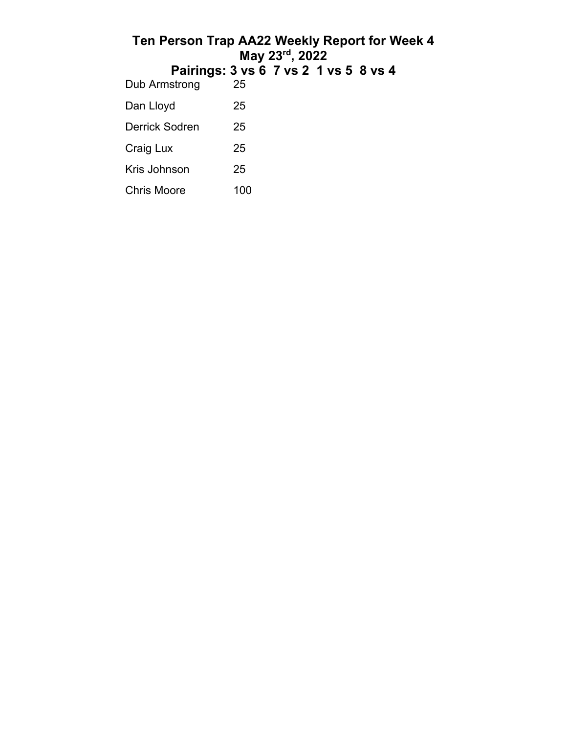| Ten Person Trap AA22 Weekly Report for Week 4 |                                       | May 23rd, 2022 |  |  |
|-----------------------------------------------|---------------------------------------|----------------|--|--|
|                                               | Pairings: 3 vs 6 7 vs 2 1 vs 5 8 vs 4 |                |  |  |
| Dub Armstrong                                 | 25                                    |                |  |  |
| Dan Lloyd                                     | 25                                    |                |  |  |
| Derrick Sodren                                | 25                                    |                |  |  |
| Craig Lux                                     | 25                                    |                |  |  |
| Kris Johnson                                  | 25                                    |                |  |  |
| Chris Moore                                   | 100                                   |                |  |  |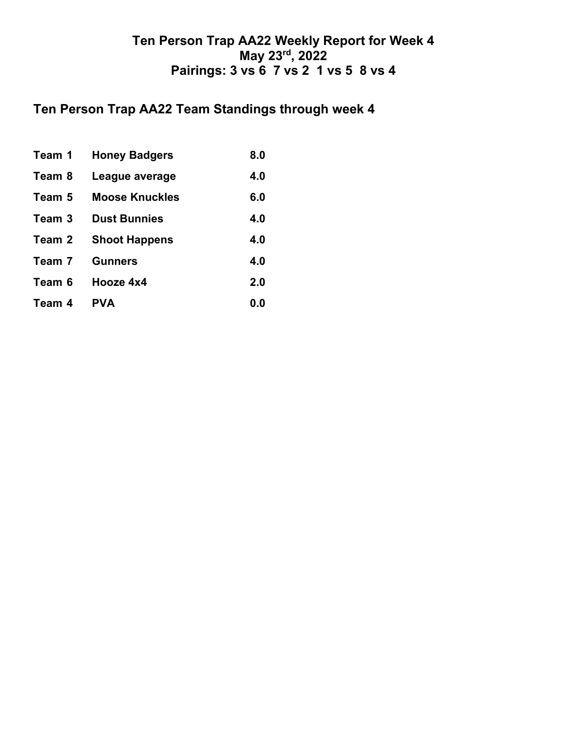## **Ten Person Trap AA22 Team Standings through week 4**

| Team 1 | <b>Honey Badgers</b>  | 8.0 |
|--------|-----------------------|-----|
| Team 8 | League average        | 4.0 |
| Team 5 | <b>Moose Knuckles</b> | 6.0 |
| Team 3 | <b>Dust Bunnies</b>   | 4.0 |
| Team 2 | <b>Shoot Happens</b>  | 4.0 |
| Team 7 | <b>Gunners</b>        | 4.0 |
| Team 6 | Hooze 4x4             | 2.0 |
| Team 4 | <b>PVA</b>            | 0.0 |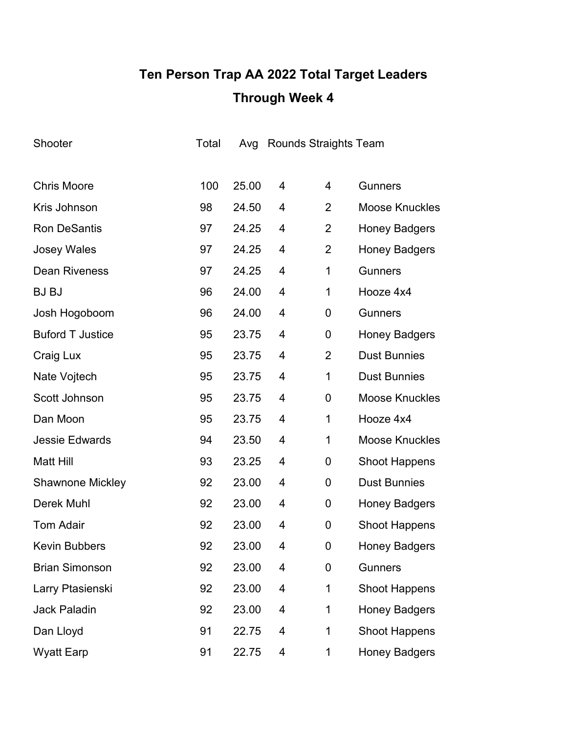# **Ten Person Trap AA 2022 Total Target Leaders Through Week 4**

| Shooter                 | Total |       |   | Avg Rounds Straights Team |                       |
|-------------------------|-------|-------|---|---------------------------|-----------------------|
|                         |       |       |   |                           |                       |
| <b>Chris Moore</b>      | 100   | 25.00 | 4 | 4                         | <b>Gunners</b>        |
| Kris Johnson            | 98    | 24.50 | 4 | 2                         | <b>Moose Knuckles</b> |
| <b>Ron DeSantis</b>     | 97    | 24.25 | 4 | 2                         | <b>Honey Badgers</b>  |
| <b>Josey Wales</b>      | 97    | 24.25 | 4 | $\overline{2}$            | <b>Honey Badgers</b>  |
| <b>Dean Riveness</b>    | 97    | 24.25 | 4 | 1                         | <b>Gunners</b>        |
| <b>BJ BJ</b>            | 96    | 24.00 | 4 | $\mathbf 1$               | Hooze 4x4             |
| Josh Hogoboom           | 96    | 24.00 | 4 | 0                         | <b>Gunners</b>        |
| <b>Buford T Justice</b> | 95    | 23.75 | 4 | $\boldsymbol{0}$          | <b>Honey Badgers</b>  |
| Craig Lux               | 95    | 23.75 | 4 | $\overline{2}$            | <b>Dust Bunnies</b>   |
| Nate Vojtech            | 95    | 23.75 | 4 | 1                         | <b>Dust Bunnies</b>   |
| Scott Johnson           | 95    | 23.75 | 4 | 0                         | <b>Moose Knuckles</b> |
| Dan Moon                | 95    | 23.75 | 4 | $\mathbf 1$               | Hooze 4x4             |
| <b>Jessie Edwards</b>   | 94    | 23.50 | 4 | 1                         | <b>Moose Knuckles</b> |
| <b>Matt Hill</b>        | 93    | 23.25 | 4 | 0                         | <b>Shoot Happens</b>  |
| <b>Shawnone Mickley</b> | 92    | 23.00 | 4 | 0                         | <b>Dust Bunnies</b>   |
| Derek Muhl              | 92    | 23.00 | 4 | 0                         | <b>Honey Badgers</b>  |
| <b>Tom Adair</b>        | 92    | 23.00 | 4 | 0                         | <b>Shoot Happens</b>  |
| <b>Kevin Bubbers</b>    | 92    | 23.00 | 4 | 0                         | <b>Honey Badgers</b>  |
| <b>Brian Simonson</b>   | 92    | 23.00 | 4 | 0                         | <b>Gunners</b>        |
| Larry Ptasienski        | 92    | 23.00 | 4 | 1                         | <b>Shoot Happens</b>  |
| <b>Jack Paladin</b>     | 92    | 23.00 | 4 | 1                         | <b>Honey Badgers</b>  |
| Dan Lloyd               | 91    | 22.75 | 4 | $\mathbf 1$               | <b>Shoot Happens</b>  |
| <b>Wyatt Earp</b>       | 91    | 22.75 | 4 | $\mathbf{1}$              | <b>Honey Badgers</b>  |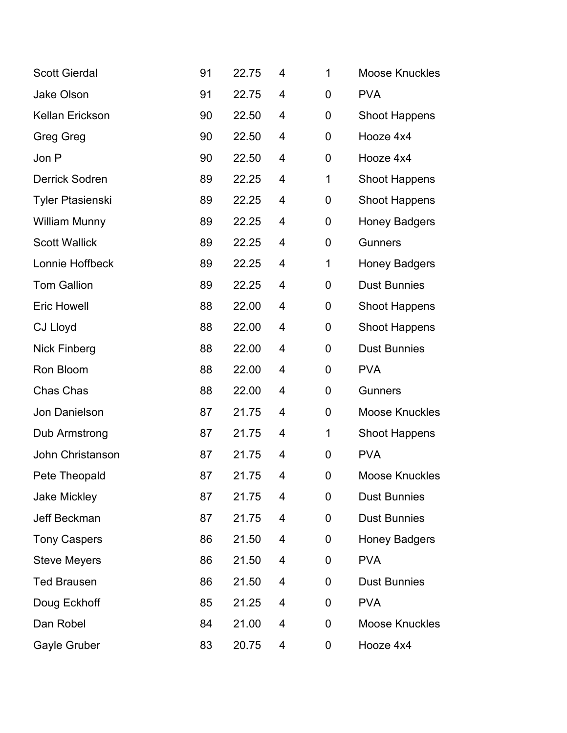| <b>Scott Gierdal</b>    | 91 | 22.75 | 4 | 1           | <b>Moose Knuckles</b> |
|-------------------------|----|-------|---|-------------|-----------------------|
| <b>Jake Olson</b>       | 91 | 22.75 | 4 | 0           | <b>PVA</b>            |
| <b>Kellan Erickson</b>  | 90 | 22.50 | 4 | 0           | <b>Shoot Happens</b>  |
| <b>Greg Greg</b>        | 90 | 22.50 | 4 | 0           | Hooze 4x4             |
| Jon P                   | 90 | 22.50 | 4 | 0           | Hooze 4x4             |
| <b>Derrick Sodren</b>   | 89 | 22.25 | 4 | 1           | <b>Shoot Happens</b>  |
| <b>Tyler Ptasienski</b> | 89 | 22.25 | 4 | 0           | <b>Shoot Happens</b>  |
| <b>William Munny</b>    | 89 | 22.25 | 4 | 0           | <b>Honey Badgers</b>  |
| <b>Scott Wallick</b>    | 89 | 22.25 | 4 | 0           | <b>Gunners</b>        |
| Lonnie Hoffbeck         | 89 | 22.25 | 4 | 1           | <b>Honey Badgers</b>  |
| <b>Tom Gallion</b>      | 89 | 22.25 | 4 | $\mathbf 0$ | <b>Dust Bunnies</b>   |
| <b>Eric Howell</b>      | 88 | 22.00 | 4 | 0           | <b>Shoot Happens</b>  |
| <b>CJ Lloyd</b>         | 88 | 22.00 | 4 | 0           | <b>Shoot Happens</b>  |
| Nick Finberg            | 88 | 22.00 | 4 | 0           | <b>Dust Bunnies</b>   |
| Ron Bloom               | 88 | 22.00 | 4 | 0           | <b>PVA</b>            |
| Chas Chas               | 88 | 22.00 | 4 | 0           | <b>Gunners</b>        |
| Jon Danielson           | 87 | 21.75 | 4 | 0           | <b>Moose Knuckles</b> |
| Dub Armstrong           | 87 | 21.75 | 4 | $\mathbf 1$ | <b>Shoot Happens</b>  |
| John Christanson        | 87 | 21.75 | 4 | 0           | <b>PVA</b>            |
| Pete Theopald           | 87 | 21.75 | 4 | 0           | <b>Moose Knuckles</b> |
| <b>Jake Mickley</b>     | 87 | 21.75 | 4 | 0           | <b>Dust Bunnies</b>   |
| Jeff Beckman            | 87 | 21.75 | 4 | 0           | <b>Dust Bunnies</b>   |
| <b>Tony Caspers</b>     | 86 | 21.50 | 4 | 0           | <b>Honey Badgers</b>  |
| <b>Steve Meyers</b>     | 86 | 21.50 | 4 | 0           | <b>PVA</b>            |
| <b>Ted Brausen</b>      | 86 | 21.50 | 4 | 0           | <b>Dust Bunnies</b>   |
| Doug Eckhoff            | 85 | 21.25 | 4 | 0           | <b>PVA</b>            |
| Dan Robel               | 84 | 21.00 | 4 | 0           | <b>Moose Knuckles</b> |
| Gayle Gruber            | 83 | 20.75 | 4 | 0           | Hooze 4x4             |